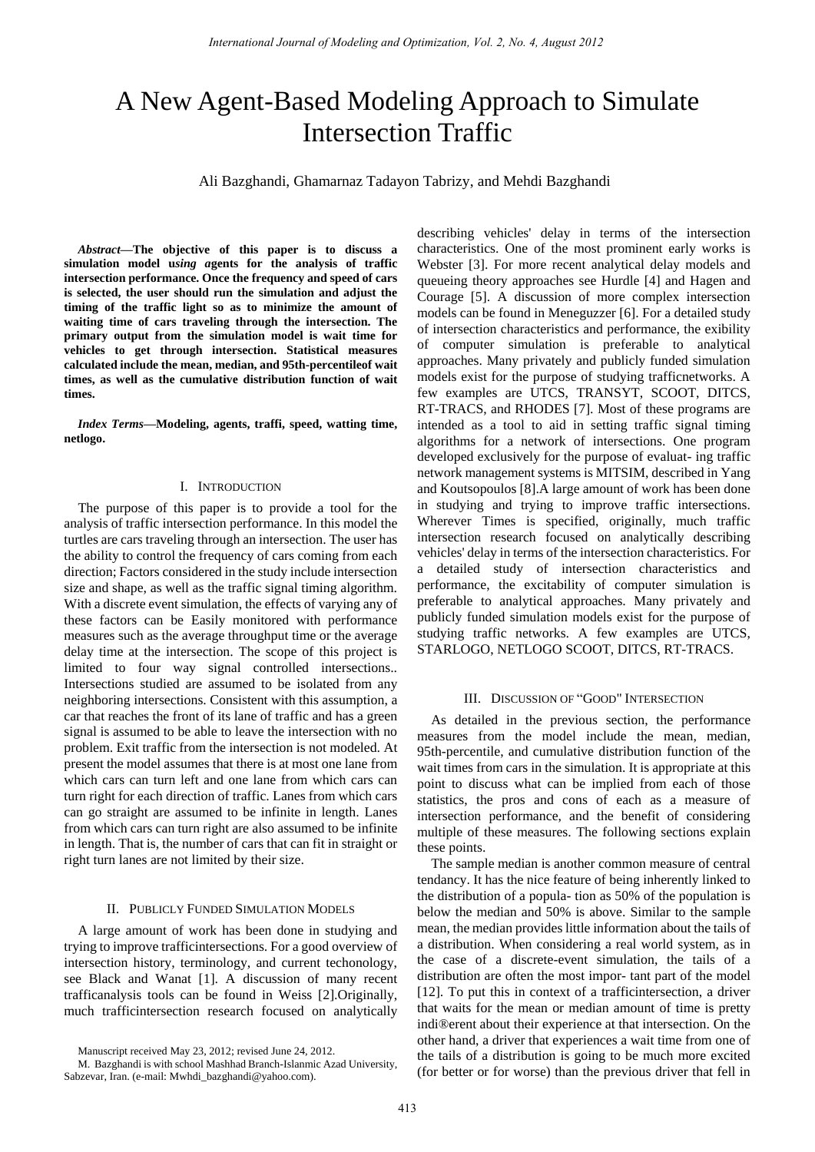# A New Agent-Based Modeling Approach to Simulate Intersection Traffic

Ali Bazghandi, Ghamarnaz Tadayon Tabrizy, and Mehdi Bazghandi

*Abstract***—The objective of this paper is to discuss a simulation model u***sing a***gents for the analysis of traffic intersection performance. Once the frequency and speed of cars is selected, the user should run the simulation and adjust the timing of the traffic light so as to minimize the amount of waiting time of cars traveling through the intersection. The primary output from the simulation model is wait time for vehicles to get through intersection. Statistical measures calculated include the mean, median, and 95th-percentileof wait times, as well as the cumulative distribution function of wait times.**

*Index Terms***—Modeling, agents, traffi, speed, watting time, netlogo.** 

# I. INTRODUCTION

The purpose of this paper is to provide a tool for the analysis of traffic intersection performance. In this model the turtles are cars traveling through an intersection. The user has the ability to control the frequency of cars coming from each direction; Factors considered in the study include intersection size and shape, as well as the traffic signal timing algorithm. With a discrete event simulation, the effects of varying any of these factors can be Easily monitored with performance measures such as the average throughput time or the average delay time at the intersection. The scope of this project is limited to four way signal controlled intersections.. Intersections studied are assumed to be isolated from any neighboring intersections. Consistent with this assumption, a car that reaches the front of its lane of traffic and has a green signal is assumed to be able to leave the intersection with no problem. Exit traffic from the intersection is not modeled. At present the model assumes that there is at most one lane from which cars can turn left and one lane from which cars can turn right for each direction of traffic. Lanes from which cars can go straight are assumed to be infinite in length. Lanes from which cars can turn right are also assumed to be infinite in length. That is, the number of cars that can fit in straight or right turn lanes are not limited by their size.

# II. PUBLICLY FUNDED SIMULATION MODELS

A large amount of work has been done in studying and trying to improve trafficintersections. For a good overview of intersection history, terminology, and current techonology, see Black and Wanat [1]. A discussion of many recent trafficanalysis tools can be found in Weiss [2].Originally, much trafficintersection research focused on analytically describing vehicles' delay in terms of the intersection characteristics. One of the most prominent early works is Webster [3]. For more recent analytical delay models and queueing theory approaches see Hurdle [4] and Hagen and Courage [5]. A discussion of more complex intersection models can be found in Meneguzzer [6]. For a detailed study of intersection characteristics and performance, the exibility of computer simulation is preferable to analytical approaches. Many privately and publicly funded simulation models exist for the purpose of studying trafficnetworks. A few examples are UTCS, TRANSYT, SCOOT, DITCS, RT-TRACS, and RHODES [7]. Most of these programs are intended as a tool to aid in setting traffic signal timing algorithms for a network of intersections. One program developed exclusively for the purpose of evaluat- ing traffic network management systems is MITSIM, described in Yang and Koutsopoulos [8].A large amount of work has been done in studying and trying to improve traffic intersections. Wherever Times is specified, originally, much traffic intersection research focused on analytically describing vehicles' delay in terms of the intersection characteristics. For a detailed study of intersection characteristics and performance, the excitability of computer simulation is preferable to analytical approaches. Many privately and publicly funded simulation models exist for the purpose of studying traffic networks. A few examples are UTCS, STARLOGO, NETLOGO SCOOT, DITCS, RT-TRACS.

### III. DISCUSSION OF "GOOD" INTERSECTION

As detailed in the previous section, the performance measures from the model include the mean, median, 95th-percentile, and cumulative distribution function of the wait times from cars in the simulation. It is appropriate at this point to discuss what can be implied from each of those statistics, the pros and cons of each as a measure of intersection performance, and the benefit of considering multiple of these measures. The following sections explain these points.

The sample median is another common measure of central tendancy. It has the nice feature of being inherently linked to the distribution of a popula- tion as 50% of the population is below the median and 50% is above. Similar to the sample mean, the median provides little information about the tails of a distribution. When considering a real world system, as in the case of a discrete-event simulation, the tails of a distribution are often the most impor- tant part of the model [12]. To put this in context of a trafficintersection, a driver that waits for the mean or median amount of time is pretty indi®erent about their experience at that intersection. On the other hand, a driver that experiences a wait time from one of the tails of a distribution is going to be much more excited (for better or for worse) than the previous driver that fell in

Manuscript received May 23, 2012; revised June 24, 2012.

M. Bazghandi is with school Mashhad Branch-Islanmic Azad University, Sabzevar, Iran. (e-mail: Mwhdi\_bazghandi@yahoo.com).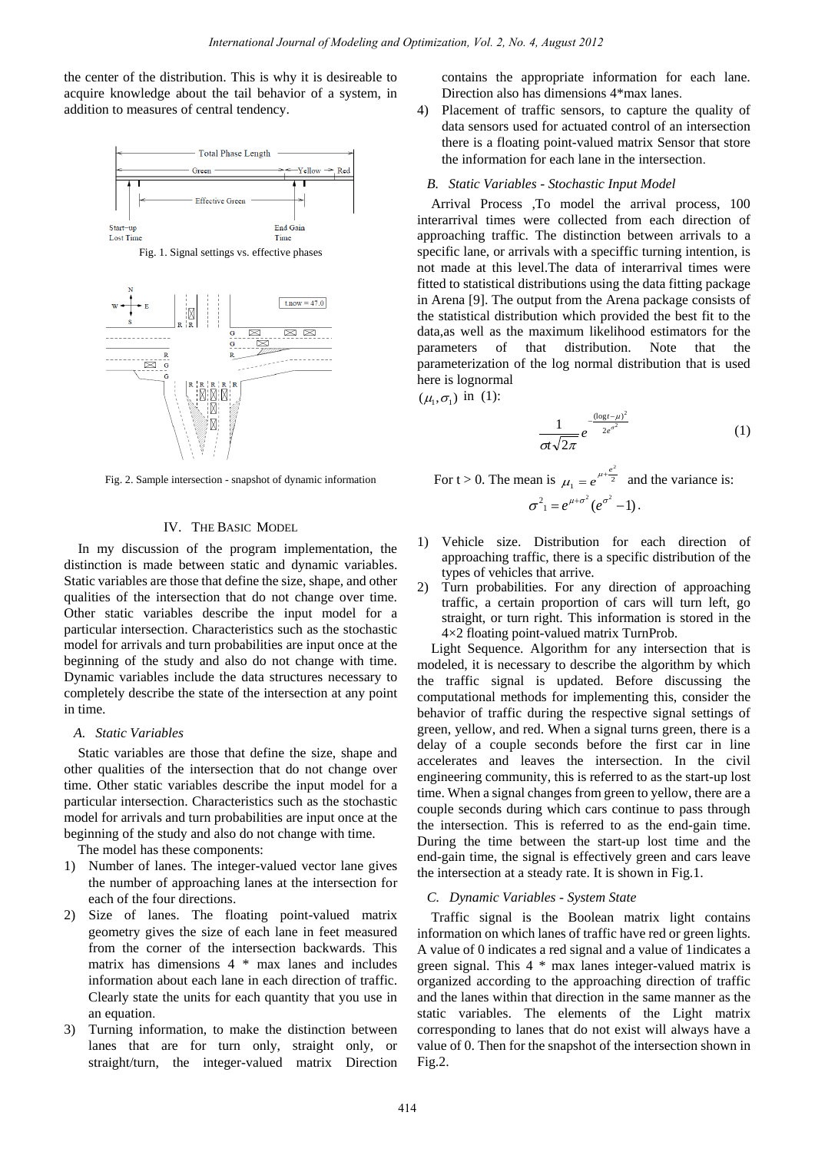the center of the distribution. This is why it is desireable to acquire knowledge about the tail behavior of a system, in addition to measures of central tendency.



Fig. 2. Sample intersection - snapshot of dynamic information

# IV. THE BASIC MODEL

In my discussion of the program implementation, the distinction is made between static and dynamic variables. Static variables are those that define the size, shape, and other qualities of the intersection that do not change over time. Other static variables describe the input model for a particular intersection. Characteristics such as the stochastic model for arrivals and turn probabilities are input once at the beginning of the study and also do not change with time. Dynamic variables include the data structures necessary to completely describe the state of the intersection at any point in time.

# *A. Static Variables*

Static variables are those that define the size, shape and other qualities of the intersection that do not change over time. Other static variables describe the input model for a particular intersection. Characteristics such as the stochastic model for arrivals and turn probabilities are input once at the beginning of the study and also do not change with time.

The model has these components:

- 1) Number of lanes. The integer-valued vector lane gives the number of approaching lanes at the intersection for each of the four directions.
- 2) Size of lanes. The floating point-valued matrix geometry gives the size of each lane in feet measured from the corner of the intersection backwards. This matrix has dimensions 4 \* max lanes and includes information about each lane in each direction of traffic. Clearly state the units for each quantity that you use in an equation.
- 3) Turning information, to make the distinction between lanes that are for turn only, straight only, or straight/turn, the integer-valued matrix Direction

contains the appropriate information for each lane. Direction also has dimensions 4\*max lanes.

4) Placement of traffic sensors, to capture the quality of data sensors used for actuated control of an intersection there is a floating point-valued matrix Sensor that store the information for each lane in the intersection.

## *B. Static Variables - Stochastic Input Model*

Arrival Process ,To model the arrival process, 100 interarrival times were collected from each direction of approaching traffic. The distinction between arrivals to a specific lane, or arrivals with a speciffic turning intention, is not made at this level.The data of interarrival times were fitted to statistical distributions using the data fitting package in Arena [9]. The output from the Arena package consists of the statistical distribution which provided the best fit to the data,as well as the maximum likelihood estimators for the parameters of that distribution. Note that the parameterization of the log normal distribution that is used here is lognormal

 $(\mu_1, \sigma_1)$  in (1):

$$
\frac{1}{\sigma t \sqrt{2\pi}} e^{-\frac{(\log t - \mu)^2}{2e^{\sigma^2}}} \tag{1}
$$

For 
$$
t > 0
$$
. The mean is  $\mu_1 = e^{\mu + \frac{e^2}{2}}$  and the variance is:  

$$
\sigma^2_1 = e^{\mu + \sigma^2} (e^{\sigma^2} - 1).
$$

- 1) Vehicle size. Distribution for each direction of approaching traffic, there is a specific distribution of the types of vehicles that arrive.
- 2) Turn probabilities. For any direction of approaching traffic, a certain proportion of cars will turn left, go straight, or turn right. This information is stored in the  $4\times2$  floating point-valued matrix TurnProb.

Light Sequence. Algorithm for any intersection that is modeled, it is necessary to describe the algorithm by which the traffic signal is updated. Before discussing the computational methods for implementing this, consider the behavior of traffic during the respective signal settings of green, yellow, and red. When a signal turns green, there is a delay of a couple seconds before the first car in line accelerates and leaves the intersection. In the civil engineering community, this is referred to as the start-up lost time. When a signal changes from green to yellow, there are a couple seconds during which cars continue to pass through the intersection. This is referred to as the end-gain time. During the time between the start-up lost time and the end-gain time, the signal is effectively green and cars leave the intersection at a steady rate. It is shown in Fig.1.

# *C. Dynamic Variables - System State*

Traffic signal is the Boolean matrix light contains information on which lanes of traffic have red or green lights. A value of 0 indicates a red signal and a value of 1indicates a green signal. This 4 \* max lanes integer-valued matrix is organized according to the approaching direction of traffic and the lanes within that direction in the same manner as the static variables. The elements of the Light matrix corresponding to lanes that do not exist will always have a value of 0. Then for the snapshot of the intersection shown in Fig.2.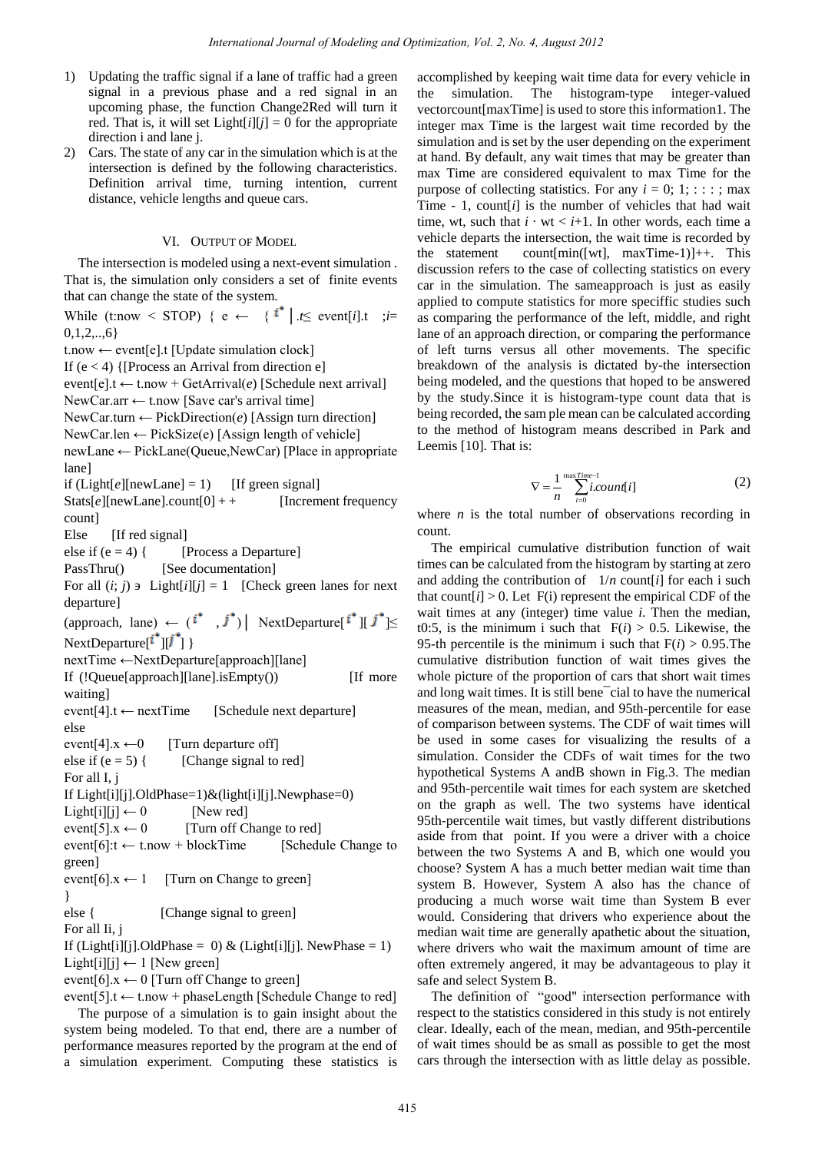- 1) Updating the traffic signal if a lane of traffic had a green signal in a previous phase and a red signal in an upcoming phase, the function Change2Red will turn it red. That is, it will set  $Light[i][j] = 0$  for the appropriate direction i and lane j.
- 2) Cars. The state of any car in the simulation which is at the intersection is defined by the following characteristics. Definition arrival time, turning intention, current distance, vehicle lengths and queue cars.

# VI. OUTPUT OF MODEL

The intersection is modeled using a next-event simulation . That is, the simulation only considers a set of finite events that can change the state of the system.

While (t:now < STOP) {  $e \leftarrow$  { <sup>*i*</sup> | .*t*≤ event[*i*].t ;*i*=  $0,1,2,...,6$ }

t.now ← event[e].t [Update simulation clock] If  $(e < 4)$  {[Process an Arrival from direction e] event[e].t  $\leftarrow$  t.now + GetArrival(*e*) [Schedule next arrival] NewCar.arr ← t.now [Save car's arrival time] NewCar.turn ← PickDirection(*e*) [Assign turn direction] NewCar.len ← PickSize(e) [Assign length of vehicle] newLane ← PickLane(Queue,NewCar) [Place in appropriate lane] if  $(Light[e][newLane] = 1)$  [If green signal]  $Stats[e][newLane].count[0] + +$  [Increment frequency] count] Else [If red signal] else if  $(e = 4)$  { [Process a Departure] PassThru() [See documentation] For all  $(i; j)$   $\exists$  Light $[i][j] = 1$  [Check green lanes for next departure] (approach, lane) ←  $(i^*, j^*)$  NextDeparture $[i^*]$   $[j^*] \leq$ NextDeparture $[i^{\dagger}][j^{\dagger}]$ nextTime ←NextDeparture[approach][lane] If (!Queue[approach][lane].isEmpty()) [If more waiting] event[4].t ← nextTime [Schedule next departure] else event[4]. $x \leftarrow 0$  [Turn departure off] else if  $(e = 5)$  { [Change signal to red] For all I, j If Light[i][j].OldPhase=1)&(light[i][j].Newphase=0)  $Light[i][j] \leftarrow 0$  [New red] event[5]. $x \leftarrow 0$  [Turn off Change to red] event[6]: $t \leftarrow t$ .now + blockTime [Schedule Change to green] event[6]. $x \leftarrow 1$  [Turn on Change to green] } else { [Change signal to green] For all Ii, j If (Light[i][j].OldPhase = 0) & (Light[i][j]. NewPhase = 1) Light[i][j]  $\leftarrow$  1 [New green] event[6]. $x \leftarrow 0$  [Turn off Change to green]

event[5].t  $\leftarrow$  t.now + phaseLength [Schedule Change to red] The purpose of a simulation is to gain insight about the system being modeled. To that end, there are a number of performance measures reported by the program at the end of a simulation experiment. Computing these statistics is accomplished by keeping wait time data for every vehicle in the simulation. The histogram-type integer-valued vectorcount[maxTime] is used to store this information1. The integer max Time is the largest wait time recorded by the simulation and is set by the user depending on the experiment at hand. By default, any wait times that may be greater than max Time are considered equivalent to max Time for the purpose of collecting statistics. For any  $i = 0; 1; \dots;$  max Time - 1, count[*i*] is the number of vehicles that had wait time, wt, such that  $i \cdot wt < i+1$ . In other words, each time a vehicle departs the intersection, the wait time is recorded by the statement count[min([wt], maxTime-1)]++. This discussion refers to the case of collecting statistics on every car in the simulation. The sameapproach is just as easily applied to compute statistics for more speciffic studies such as comparing the performance of the left, middle, and right lane of an approach direction, or comparing the performance of left turns versus all other movements. The specific breakdown of the analysis is dictated by-the intersection being modeled, and the questions that hoped to be answered by the study.Since it is histogram-type count data that is being recorded, the sam ple mean can be calculated according to the method of histogram means described in Park and Leemis [10]. That is:

$$
\nabla = \frac{1}{n} \sum_{i=0}^{\text{maxTime}-1} i \text{count}[i] \tag{2}
$$

where  $n$  is the total number of observations recording in count.

The empirical cumulative distribution function of wait times can be calculated from the histogram by starting at zero and adding the contribution of  $1/n$  count *i* for each i such that count[ $i$ ] > 0. Let F(i) represent the empirical CDF of the wait times at any (integer) time value *i*. Then the median, t0:5, is the minimum i such that  $F(i) > 0.5$ . Likewise, the 95-th percentile is the minimum i such that  $F(i) > 0.95$ . The cumulative distribution function of wait times gives the whole picture of the proportion of cars that short wait times and long wait times. It is still bene¯cial to have the numerical measures of the mean, median, and 95th-percentile for ease of comparison between systems. The CDF of wait times will be used in some cases for visualizing the results of a simulation. Consider the CDFs of wait times for the two hypothetical Systems A andB shown in Fig.3. The median and 95th-percentile wait times for each system are sketched on the graph as well. The two systems have identical 95th-percentile wait times, but vastly different distributions aside from that point. If you were a driver with a choice between the two Systems A and B, which one would you choose? System A has a much better median wait time than system B. However, System A also has the chance of producing a much worse wait time than System B ever would. Considering that drivers who experience about the median wait time are generally apathetic about the situation, where drivers who wait the maximum amount of time are often extremely angered, it may be advantageous to play it safe and select System B.

The definition of "good" intersection performance with respect to the statistics considered in this study is not entirely clear. Ideally, each of the mean, median, and 95th-percentile of wait times should be as small as possible to get the most cars through the intersection with as little delay as possible.